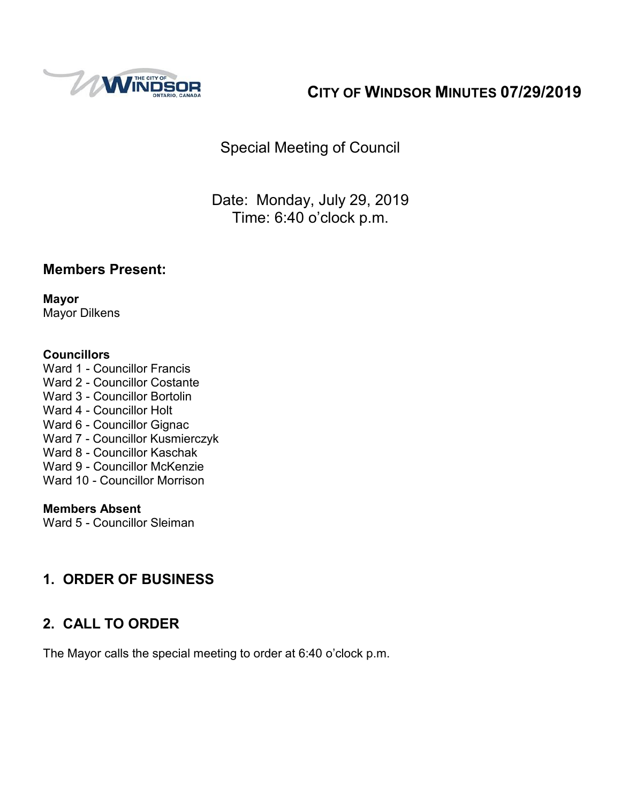

# **CITY OF WINDSOR MINUTES 07/29/2019**

Special Meeting of Council

Date: Monday, July 29, 2019 Time: 6:40 o'clock p.m.

#### **Members Present:**

**Mayor** Mayor Dilkens

#### **Councillors**

Ward 1 - Councillor Francis Ward 2 - Councillor Costante Ward 3 - Councillor Bortolin Ward 4 - Councillor Holt Ward 6 - Councillor Gignac Ward 7 - Councillor Kusmierczyk Ward 8 - Councillor Kaschak Ward 9 - Councillor McKenzie Ward 10 - Councillor Morrison

#### **Members Absent**

Ward 5 - Councillor Sleiman

#### **1. ORDER OF BUSINESS**

#### **2. CALL TO ORDER**

The Mayor calls the special meeting to order at 6:40 o'clock p.m.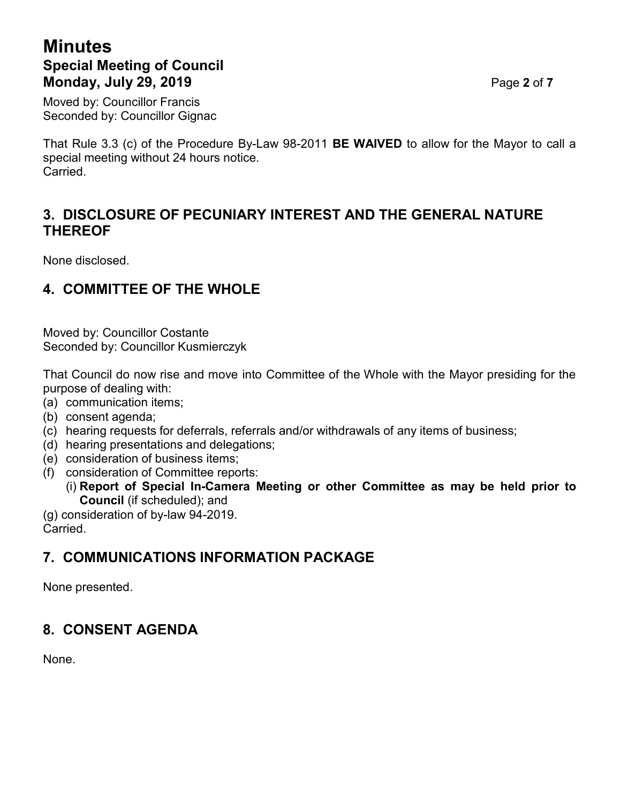## **Minutes Special Meeting of Council Monday, July 29, 2019** Page **2** of **7**

Moved by: Councillor Francis Seconded by: Councillor Gignac

That Rule 3.3 (c) of the Procedure By-Law 98-2011 **BE WAIVED** to allow for the Mayor to call a special meeting without 24 hours notice. Carried.

#### **3. DISCLOSURE OF PECUNIARY INTEREST AND THE GENERAL NATURE THEREOF**

None disclosed.

#### **4. COMMITTEE OF THE WHOLE**

Moved by: Councillor Costante Seconded by: Councillor Kusmierczyk

That Council do now rise and move into Committee of the Whole with the Mayor presiding for the purpose of dealing with:

- (a) communication items;
- (b) consent agenda;
- (c) hearing requests for deferrals, referrals and/or withdrawals of any items of business;
- (d) hearing presentations and delegations;
- (e) consideration of business items;
- (f) consideration of Committee reports:
	- (i) **Report of Special In-Camera Meeting or other Committee as may be held prior to Council** (if scheduled); and

(g) consideration of by-law 94-2019. Carried.

#### **7. COMMUNICATIONS INFORMATION PACKAGE**

None presented.

#### **8. CONSENT AGENDA**

None.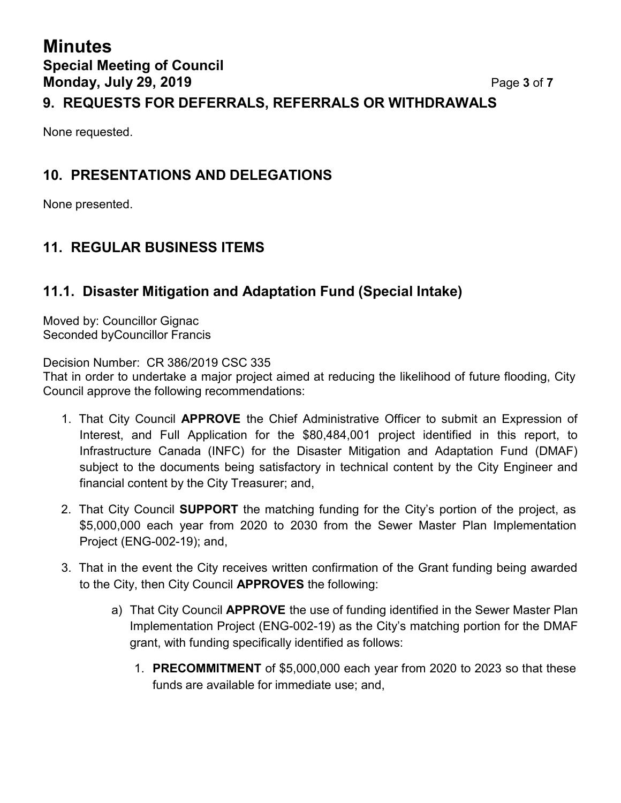## **Minutes Special Meeting of Council Monday, July 29, 2019** Page **3** of **7 9. REQUESTS FOR DEFERRALS, REFERRALS OR WITHDRAWALS**

#### None requested.

#### **10. PRESENTATIONS AND DELEGATIONS**

None presented.

## **11. REGULAR BUSINESS ITEMS**

#### **11.1. Disaster Mitigation and Adaptation Fund (Special Intake)**

Moved by: Councillor Gignac Seconded byCouncillor Francis

Decision Number: CR 386/2019 CSC 335

That in order to undertake a major project aimed at reducing the likelihood of future flooding, City Council approve the following recommendations:

- 1. That City Council **APPROVE** the Chief Administrative Officer to submit an Expression of Interest, and Full Application for the \$80,484,001 project identified in this report, to Infrastructure Canada (INFC) for the Disaster Mitigation and Adaptation Fund (DMAF) subject to the documents being satisfactory in technical content by the City Engineer and financial content by the City Treasurer; and,
- 2. That City Council **SUPPORT** the matching funding for the City's portion of the project, as \$5,000,000 each year from 2020 to 2030 from the Sewer Master Plan Implementation Project (ENG-002-19); and,
- 3. That in the event the City receives written confirmation of the Grant funding being awarded to the City, then City Council **APPROVES** the following:
	- a) That City Council **APPROVE** the use of funding identified in the Sewer Master Plan Implementation Project (ENG-002-19) as the City's matching portion for the DMAF grant, with funding specifically identified as follows:
		- 1. **PRECOMMITMENT** of \$5,000,000 each year from 2020 to 2023 so that these funds are available for immediate use; and,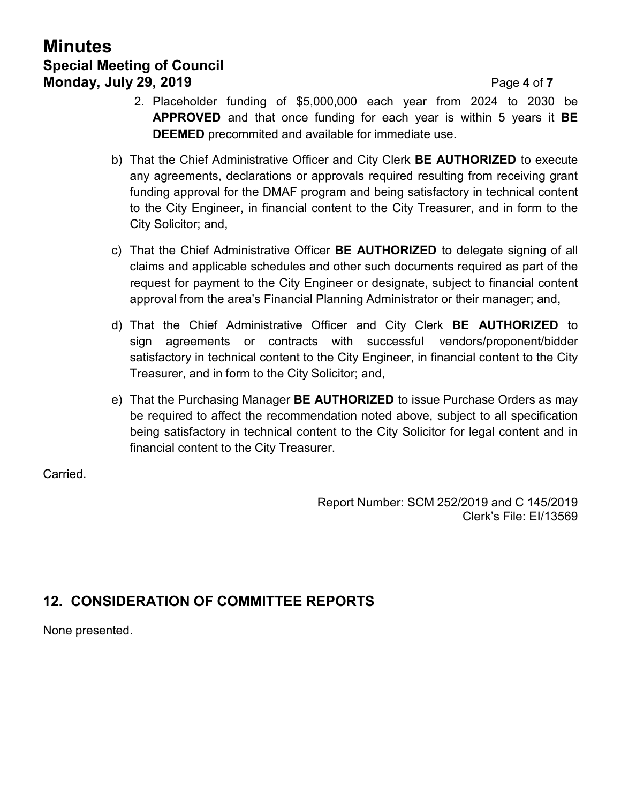## **Minutes Special Meeting of Council Monday, July 29, 2019 Page 4** of **7**

- 2. Placeholder funding of \$5,000,000 each year from 2024 to 2030 be **APPROVED** and that once funding for each year is within 5 years it **BE DEEMED** precommited and available for immediate use.
- b) That the Chief Administrative Officer and City Clerk **BE AUTHORIZED** to execute any agreements, declarations or approvals required resulting from receiving grant funding approval for the DMAF program and being satisfactory in technical content to the City Engineer, in financial content to the City Treasurer, and in form to the City Solicitor; and,
- c) That the Chief Administrative Officer **BE AUTHORIZED** to delegate signing of all claims and applicable schedules and other such documents required as part of the request for payment to the City Engineer or designate, subject to financial content approval from the area's Financial Planning Administrator or their manager; and,
- d) That the Chief Administrative Officer and City Clerk **BE AUTHORIZED** to sign agreements or contracts with successful vendors/proponent/bidder satisfactory in technical content to the City Engineer, in financial content to the City Treasurer, and in form to the City Solicitor; and,
- e) That the Purchasing Manager **BE AUTHORIZED** to issue Purchase Orders as may be required to affect the recommendation noted above, subject to all specification being satisfactory in technical content to the City Solicitor for legal content and in financial content to the City Treasurer.

Carried.

Report Number: SCM 252/2019 and C 145/2019 Clerk's File: EI/13569

## **12. CONSIDERATION OF COMMITTEE REPORTS**

None presented.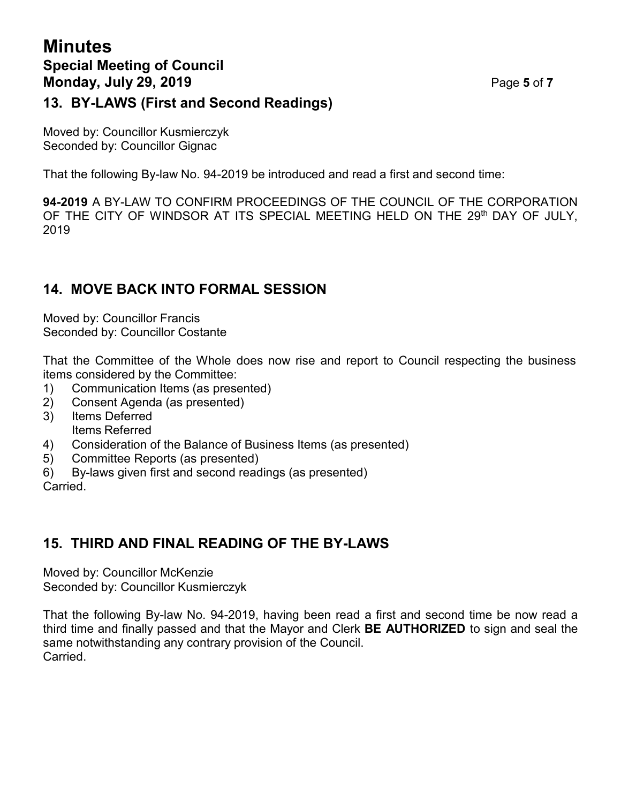## **Minutes Special Meeting of Council Monday, July 29, 2019 Page 5** of 7 **13. BY-LAWS (First and Second Readings)**

Moved by: Councillor Kusmierczyk Seconded by: Councillor Gignac

That the following By-law No. 94-2019 be introduced and read a first and second time:

**94-2019** A BY-LAW TO CONFIRM PROCEEDINGS OF THE COUNCIL OF THE CORPORATION OF THE CITY OF WINDSOR AT ITS SPECIAL MEETING HELD ON THE 29th DAY OF JULY, 2019

#### **14. MOVE BACK INTO FORMAL SESSION**

Moved by: Councillor Francis Seconded by: Councillor Costante

That the Committee of the Whole does now rise and report to Council respecting the business items considered by the Committee:

- 1) Communication Items (as presented)
- 2) Consent Agenda (as presented)
- 3) Items Deferred Items Referred
- 4) Consideration of the Balance of Business Items (as presented)
- 5) Committee Reports (as presented)
- 6) By-laws given first and second readings (as presented)

Carried.

## **15. THIRD AND FINAL READING OF THE BY-LAWS**

Moved by: Councillor McKenzie Seconded by: Councillor Kusmierczyk

That the following By-law No. 94-2019, having been read a first and second time be now read a third time and finally passed and that the Mayor and Clerk **BE AUTHORIZED** to sign and seal the same notwithstanding any contrary provision of the Council. Carried.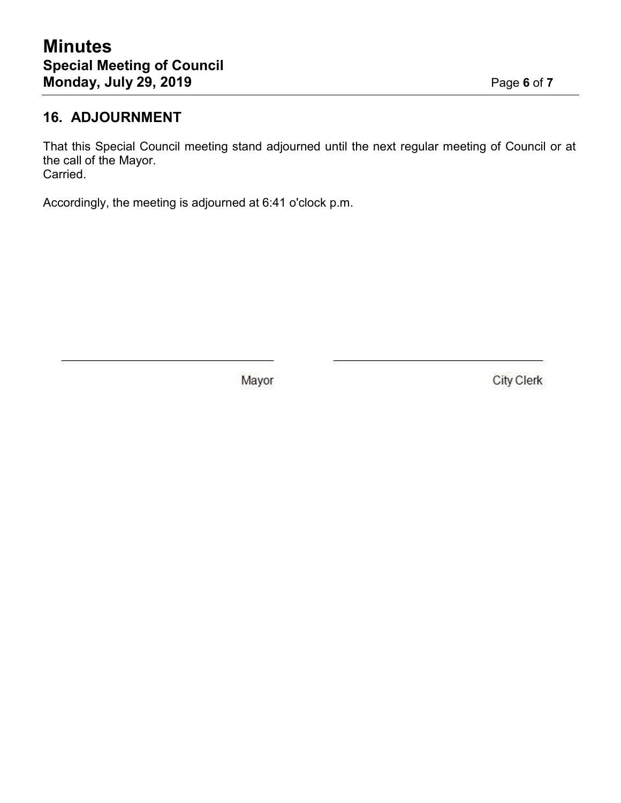#### **16. ADJOURNMENT**

That this Special Council meeting stand adjourned until the next regular meeting of Council or at the call of the Mayor. Carried.

Accordingly, the meeting is adjourned at 6:41 o'clock p.m.

Mayor

**City Clerk**